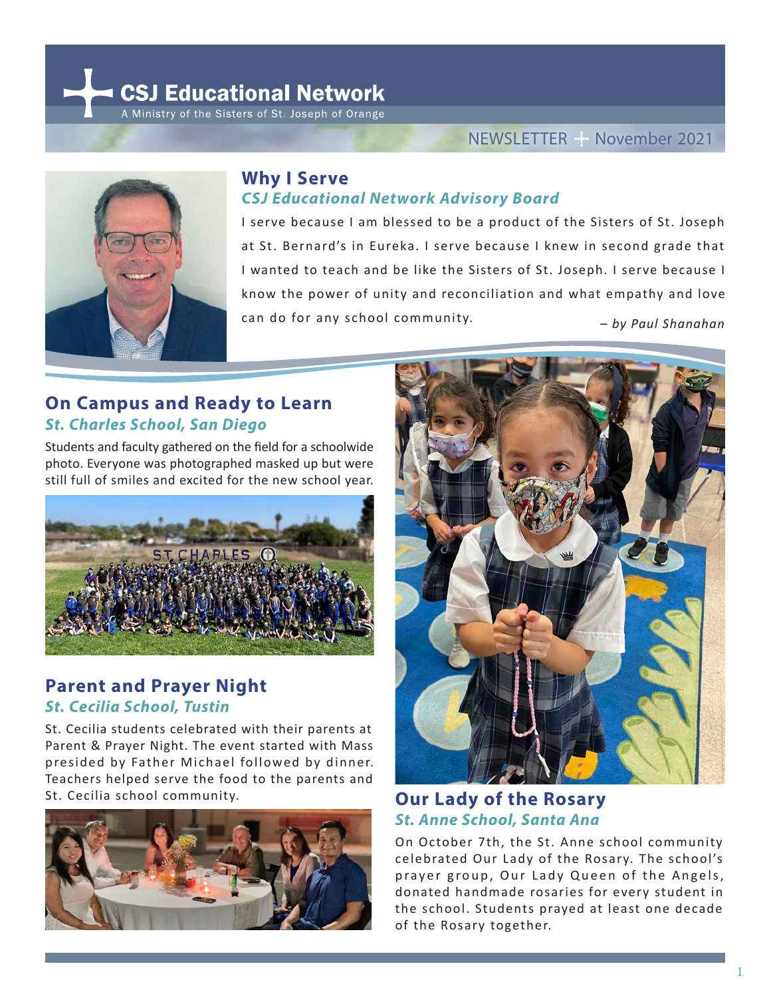CSJ Educational Network A Ministry of the Sisters of St. Joseph of Orange



#### **Why I Serve** *CSJ Educational Network Advisory Board*

I serve because I am blessed to be a product of the Sisters of St. Joseph at St. Bernard's in Eureka. I serve because I knew in second grade that I wanted to teach and be like the Sisters of St. Joseph. I serve because I know the power of unity and reconciliation and what empathy and love can do for any school community. – *by Paul Shanahan*

### **On Campus and Ready to Learn**  *St. Charles School, San Diego*

Students and faculty gathered on the field for a schoolwide photo. Everyone was photographed masked up but were still full of smiles and excited for the new school year.



# **Parent and Prayer Night**  *St. Cecilia School, Tustin*

St. Cecilia students celebrated with their parents at Parent & Prayer Night. The event started with Mass presided by Father Michael followed by dinner. Teachers helped serve the food to the parents and St. Cecilia school community.





# **Our Lady of the Rosary**  *St. Anne School, Santa Ana*

On October 7th, the St. Anne school community celebrated Our Lady of the Rosary. The school's prayer group, Our Lady Queen of the Angels, donated handmade rosaries for every student in the school. Students prayed at least one decade of the Rosary together.